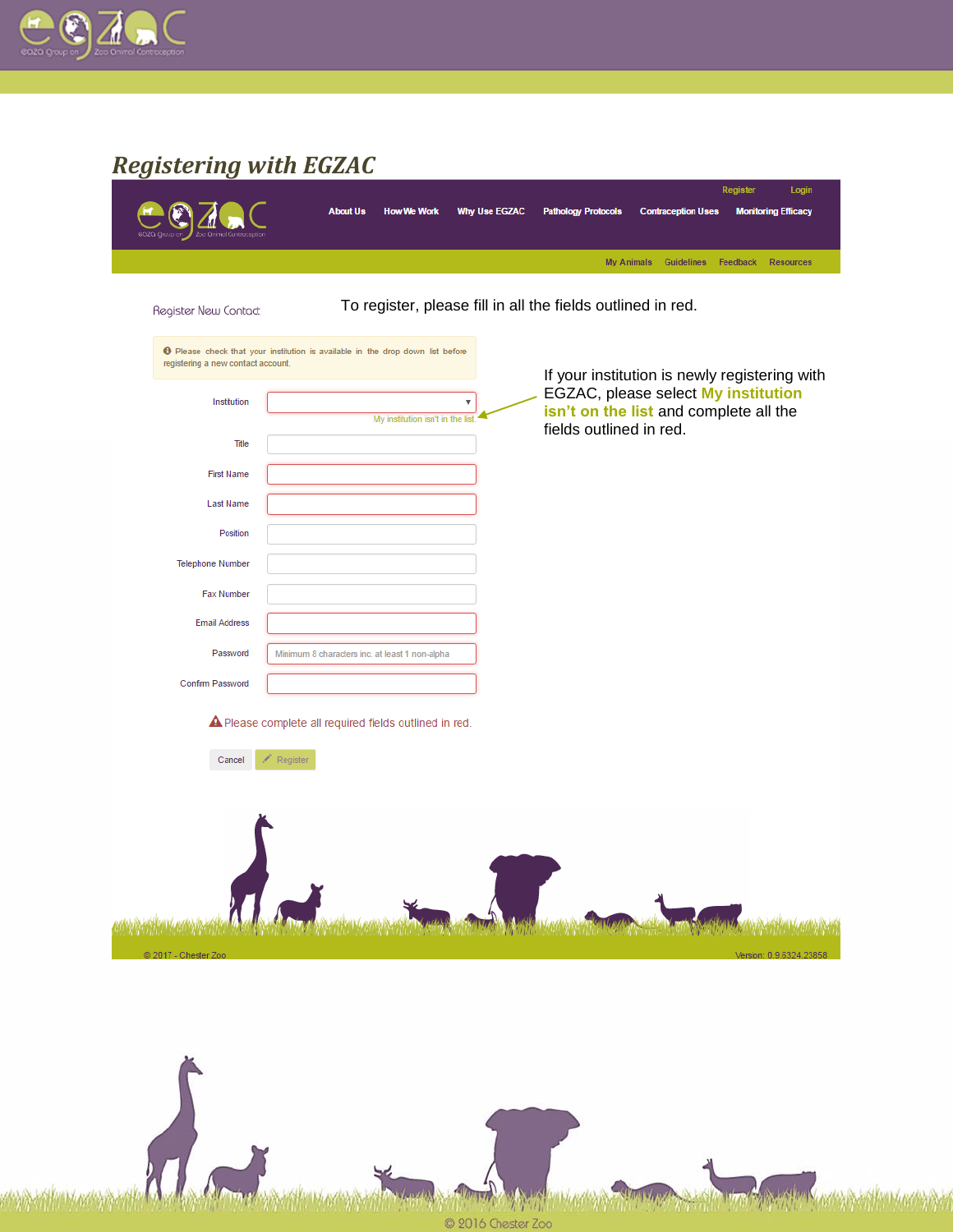

# *Registering with EGZAC*

| Register New Contact                                                                                                                                                                                                                     | <b>About Us</b><br><b>How We Work</b><br>To register, please fill in all the fields outlined in red.                                                                                                                                                                 | <b>Why Use EGZAC</b> | <b>Pathology Protocols</b><br><b>My Animals</b>                   | <b>Contraception Uses</b><br><b>Guidelines</b> | Register<br>Login<br><b>Monitoring Efficacy</b><br>Feedback<br><b>Resources</b>      |
|------------------------------------------------------------------------------------------------------------------------------------------------------------------------------------------------------------------------------------------|----------------------------------------------------------------------------------------------------------------------------------------------------------------------------------------------------------------------------------------------------------------------|----------------------|-------------------------------------------------------------------|------------------------------------------------|--------------------------------------------------------------------------------------|
| registering a new contact account.<br>Institution<br><b>Title</b><br><b>First Name</b><br><b>Last Name</b><br>Position<br><b>Telephone Number</b><br><b>Fax Number</b><br><b>Email Address</b><br>Password<br>Confirm Password<br>Cancel | <b>O</b> Please check that your institution is available in the drop down list before<br>My institution isn't in the list<br>Minimum 8 characters inc. at least 1 non-alpha<br>A Please complete all required fields outlined in red.<br>$\curvearrowright$ Register | v                    | isn't on the list and complete all the<br>fields outlined in red. |                                                | If your institution is newly registering with<br>EGZAC, please select My institution |
| @ 2017 - Chester Zoo                                                                                                                                                                                                                     |                                                                                                                                                                                                                                                                      |                      |                                                                   |                                                | Version: 0.9.6324.23858                                                              |

© 2016 Chester Zoo

WWW

**MARCHING CO** 

**CONTRACTOR**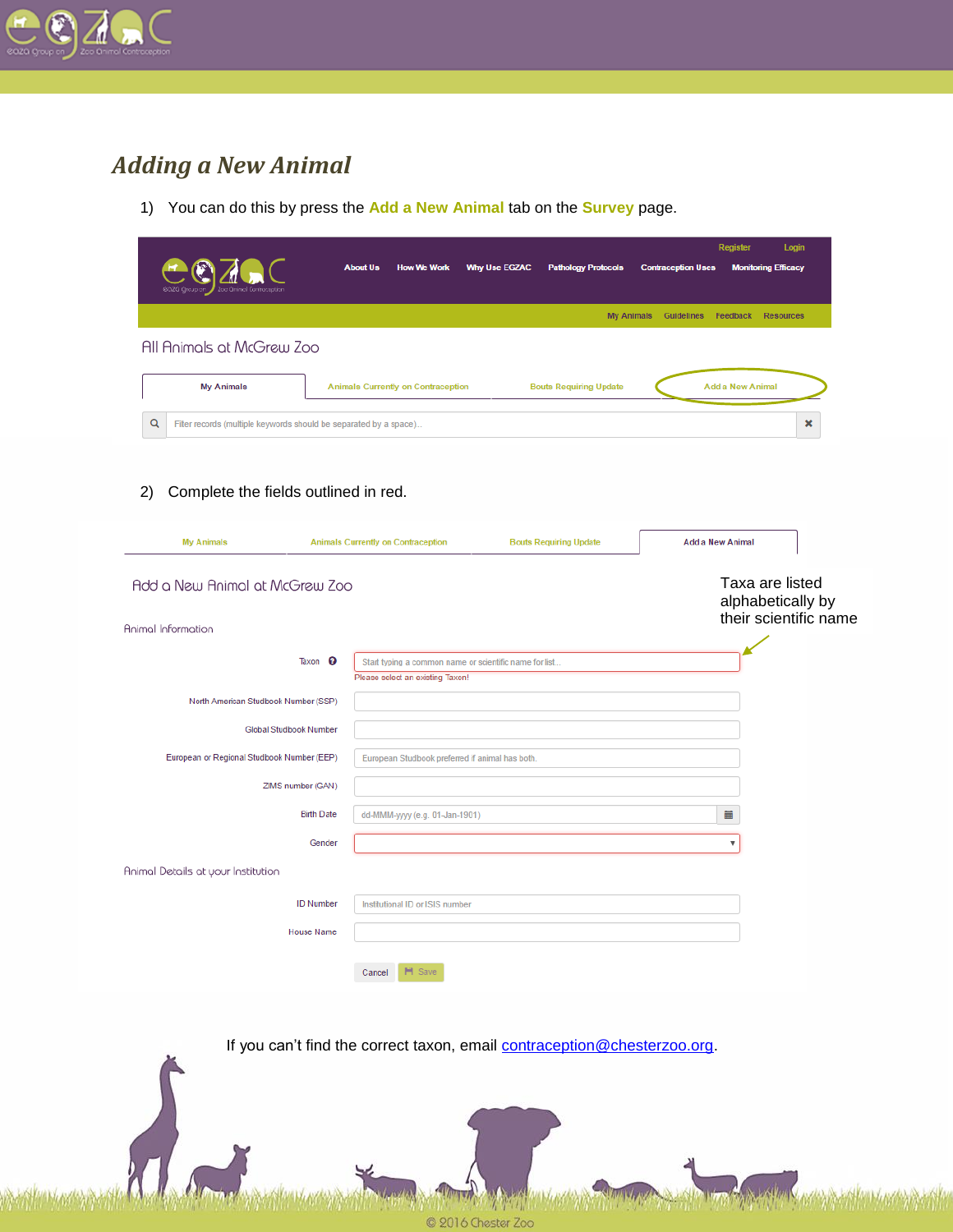

## *Adding a New Animal*

1) You can do this by press the **Add a New Animal** tab on the **Survey** page.

|                                                                        |                                                                                            |                               | <b>Register</b>               | Login                                      |
|------------------------------------------------------------------------|--------------------------------------------------------------------------------------------|-------------------------------|-------------------------------|--------------------------------------------|
|                                                                        | <b>About Us</b><br><b>Why Use EGZAC</b><br><b>How We Work</b>                              | <b>Pathology Protocols</b>    | <b>Contraception Uses</b>     | <b>Monitoring Efficacy</b>                 |
|                                                                        |                                                                                            | <b>My Animals</b>             | <b>Guidelines</b><br>Feedback | <b>Resources</b>                           |
| All Animals at McGrew Zoo                                              |                                                                                            |                               |                               |                                            |
| <b>My Animals</b>                                                      | Animals Currently on Contraception                                                         | <b>Bouts Requiring Update</b> | <b>Add a New Animal</b>       |                                            |
|                                                                        |                                                                                            |                               |                               |                                            |
| Q<br>Filter records (multiple keywords should be separated by a space) |                                                                                            |                               |                               | ×                                          |
|                                                                        |                                                                                            |                               |                               |                                            |
| Complete the fields outlined in red.<br>2)                             |                                                                                            |                               |                               |                                            |
|                                                                        |                                                                                            |                               |                               |                                            |
| <b>My Animals</b>                                                      | Animals Currently on Contraception                                                         | <b>Bouts Requiring Update</b> | <b>Add a New Animal</b>       |                                            |
| Add a New Animal at McGrew Zoo                                         |                                                                                            |                               |                               | Taxa are listed                            |
|                                                                        |                                                                                            |                               |                               | alphabetically by<br>their scientific name |
| Animal Information                                                     |                                                                                            |                               |                               |                                            |
| Taxon <sup>O</sup>                                                     | Start typing a common name or scientific name for list<br>Please select an existing Taxon! |                               |                               |                                            |
| North American Studbook Number (SSP)                                   |                                                                                            |                               |                               |                                            |
| <b>Global Studbook Number</b>                                          |                                                                                            |                               |                               |                                            |
| European or Regional Studbook Number (EEP)                             | European Studbook preferred if animal has both.                                            |                               |                               |                                            |
| ZIMS number (GAN)                                                      |                                                                                            |                               |                               |                                            |
| <b>Birth Date</b>                                                      | dd-MMM-yyyy (e.g. 01-Jan-1901)                                                             |                               | 苗                             |                                            |
| Gender                                                                 |                                                                                            |                               | ۷                             |                                            |
| Animal Details at your Institution                                     |                                                                                            |                               |                               |                                            |
| <b>ID Number</b>                                                       | Institutional ID or ISIS number                                                            |                               |                               |                                            |
| <b>House Name</b>                                                      |                                                                                            |                               |                               |                                            |
|                                                                        |                                                                                            |                               |                               |                                            |
|                                                                        | <b>H</b> Save<br>Cancel                                                                    |                               |                               |                                            |
|                                                                        |                                                                                            |                               |                               |                                            |

If you can't find the correct taxon, email **contraception@chesterzoo.org**.

2016 Chester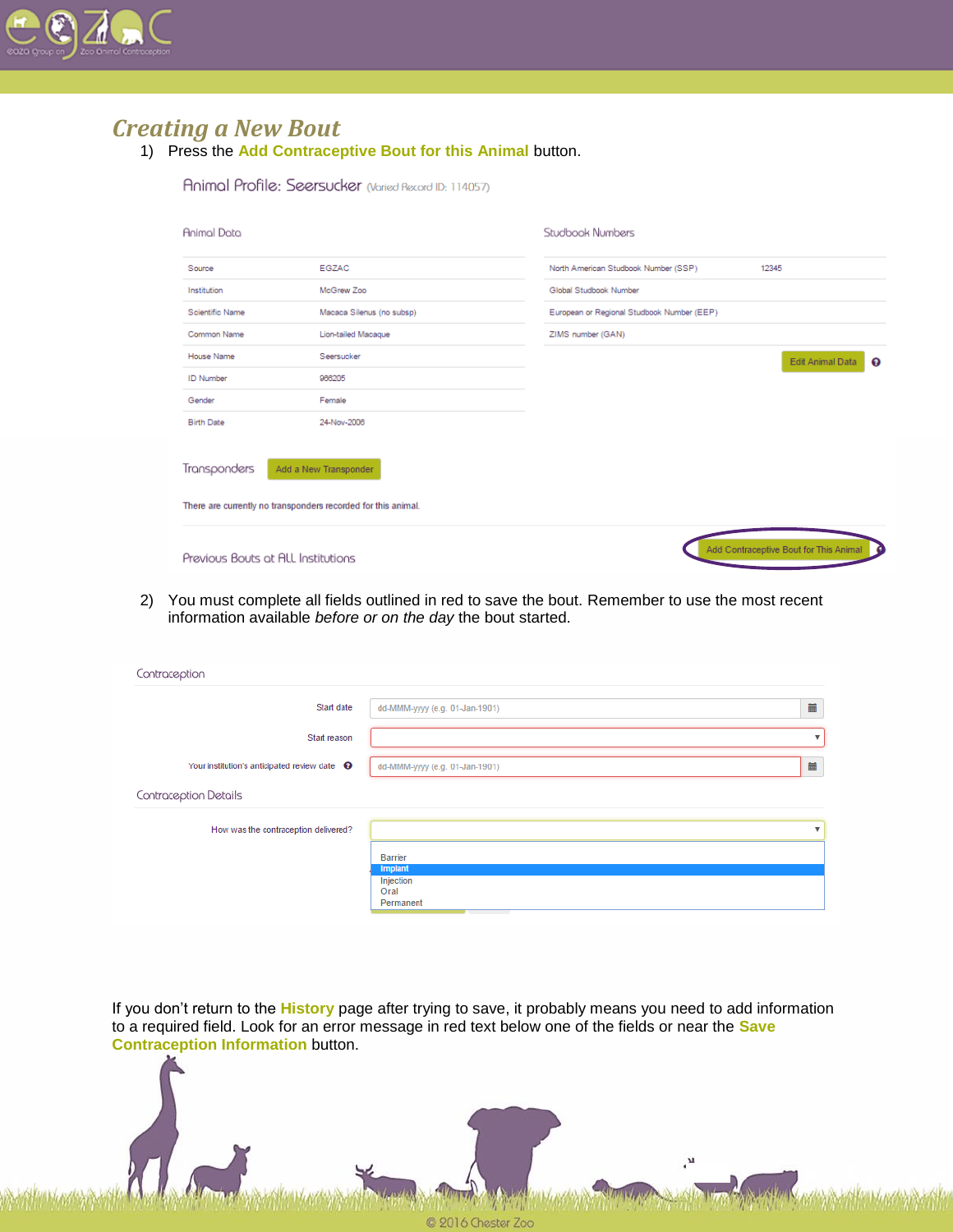

#### *Creating a New Bout*

1) Press the **Add Contraceptive Bout for this Animal** button.

Animal Profile: Seersucker (Varied Record ID: 114057)

| Animal Data                        |                                                                                        | Studbook Numbers                                    |
|------------------------------------|----------------------------------------------------------------------------------------|-----------------------------------------------------|
| Source                             | EGZAC                                                                                  | North American Studbook Number (SSP)<br>12345       |
| Institution                        | McGrew Zoo                                                                             | Global Studbook Number                              |
| Scientific Name                    | Macaca Silenus (no subsp)                                                              | European or Regional Studbook Number (EEP)          |
| Common Name                        | Lion-tailed Macague                                                                    | ZIMS number (GAN)                                   |
| House Name                         | Seersucker                                                                             | Edit Animal Data<br>ଚ                               |
| <b>ID Number</b>                   | 966205                                                                                 |                                                     |
| Gender                             | Female                                                                                 |                                                     |
| <b>Birth Date</b>                  | 24-Nov-2008                                                                            |                                                     |
| Transponders                       | Add a New Transponder<br>There are currently no transponders recorded for this animal. |                                                     |
| Previous Bouts at ALL Institutions |                                                                                        | Add Contraceptive Bout for This Animal<br>$\bullet$ |

2) You must complete all fields outlined in red to save the bout. Remember to use the most recent information available *before or on the day* the bout started.

| Contraception                                         |                                |                         |
|-------------------------------------------------------|--------------------------------|-------------------------|
| Start date                                            | dd-MMM-yyyy (e.g. 01-Jan-1901) | 藟                       |
| Start reason                                          |                                | v                       |
| Your institution's anticipated review date $\bigcirc$ | dd-MMM-yyyy (e.g. 01-Jan-1901) | 蔮                       |
| Contraception Details                                 |                                |                         |
| How was the contraception delivered?                  |                                | $\overline{\mathbf{v}}$ |
|                                                       | <b>Barrier</b><br>Implant      |                         |
|                                                       | Injection<br>Oral<br>Permanent |                         |

If you don't return to the **History** page after trying to save, it probably means you need to add information to a required field. Look for an error message in red text below one of the fields or near the **Save Contraception Information** button.

9016 CF

,м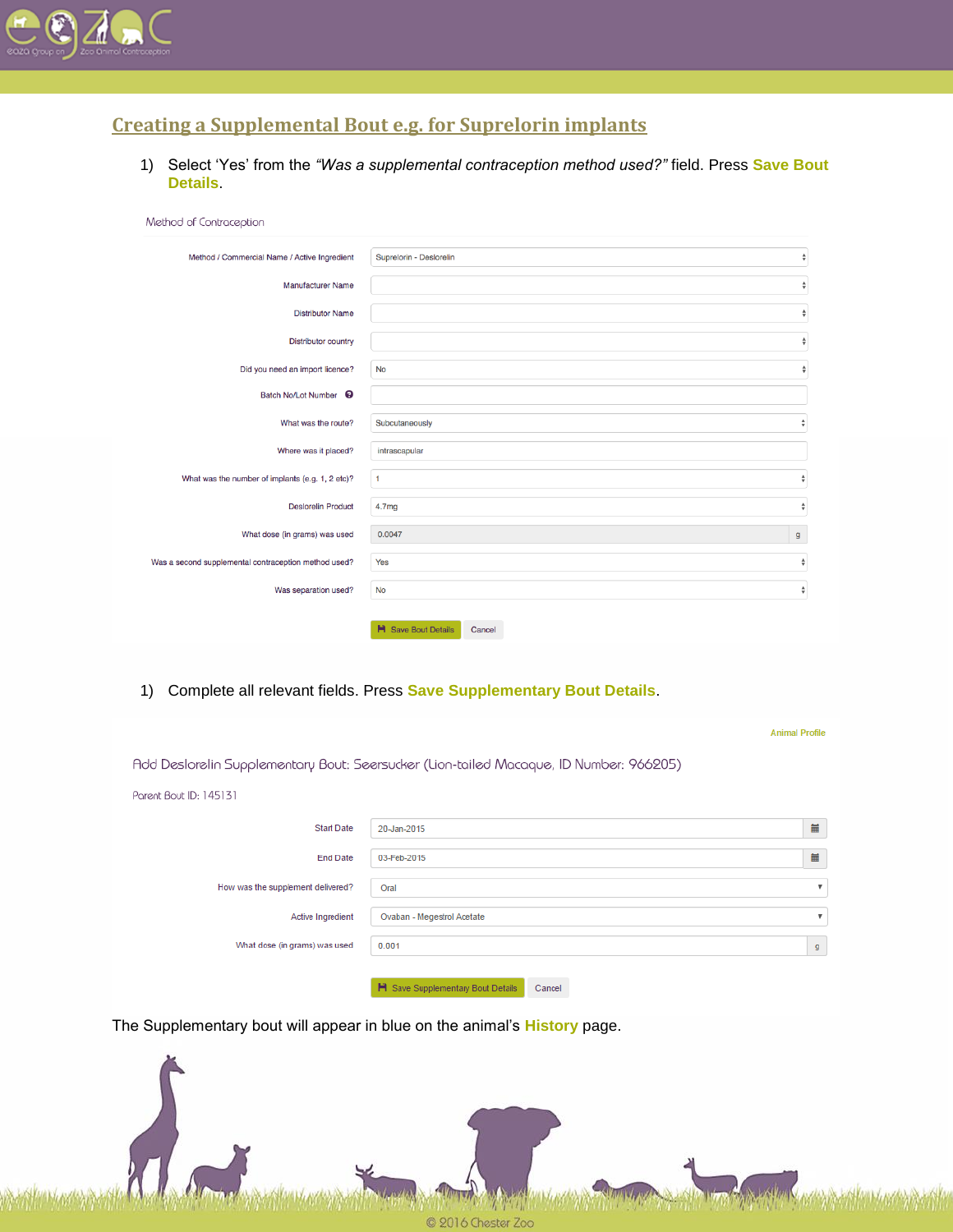

#### **Creating a Supplemental Bout e.g. for Suprelorin implants**

1) Select 'Yes' from the *"Was a supplemental contraception method used?"* field. Press **Save Bout Details**.

| Method of Contraception                              |                                      |
|------------------------------------------------------|--------------------------------------|
| Method / Commercial Name / Active Ingredient         | Suprelorin - Deslorelin<br>÷         |
| <b>Manufacturer Name</b>                             | $\hat{\mathbf{v}}$                   |
| <b>Distributor Name</b>                              | $\overset{\mathtt{A}}{\mathtt{v}}$   |
| <b>Distributor country</b>                           | $\hat{\mathbf{v}}$                   |
| Did you need an import licence?                      | $\hat{\mathbf{v}}$<br><b>No</b>      |
| Batch No/Lot Number <sup>9</sup>                     |                                      |
| What was the route?                                  | Subcutaneously<br>$\hat{\mathbf{v}}$ |
| Where was it placed?                                 | intrascapular                        |
| What was the number of implants (e.g. 1, 2 etc)?     | $\hat{\mathbf{v}}$<br>$\mathbf{1}$   |
| <b>Deslorelin Product</b>                            | $\hat{\mathbf{v}}$<br>4.7mg          |
| What dose (in grams) was used                        | 0.0047<br>$\mathsf{g}$               |
| Was a second supplemental contraception method used? | Yes<br>÷                             |
| Was separation used?                                 | $\hat{\mathbf{v}}$<br><b>No</b>      |
|                                                      | <b>H</b> Save Bout Details<br>Cancel |

1) Complete all relevant fields. Press **Save Supplementary Bout Details**.

|                                   |                                                                                        | <b>Animal Profile</b>     |
|-----------------------------------|----------------------------------------------------------------------------------------|---------------------------|
|                                   | Add Deslorelin Supplementary Bout: Seersucker (Lion-tailed Macaque, ID Number: 966205) |                           |
| Parent Bout ID: 145131            |                                                                                        |                           |
| <b>Start Date</b>                 | 20-Jan-2015                                                                            | 量                         |
| <b>End Date</b>                   | 03-Feb-2015                                                                            | 量                         |
| How was the supplement delivered? | Oral                                                                                   | $\boldsymbol{\mathrm{v}}$ |
| Active Ingredient                 | Ovaban - Megestrol Acetate                                                             | $\boldsymbol{\mathrm{v}}$ |
| What dose (in grams) was used     | 0.001                                                                                  | g                         |
|                                   | H Save Supplementary Bout Details<br>Cancel                                            |                           |

The Supplementary bout will appear in blue on the animal's **History** page.

C 2016 Chester Zoo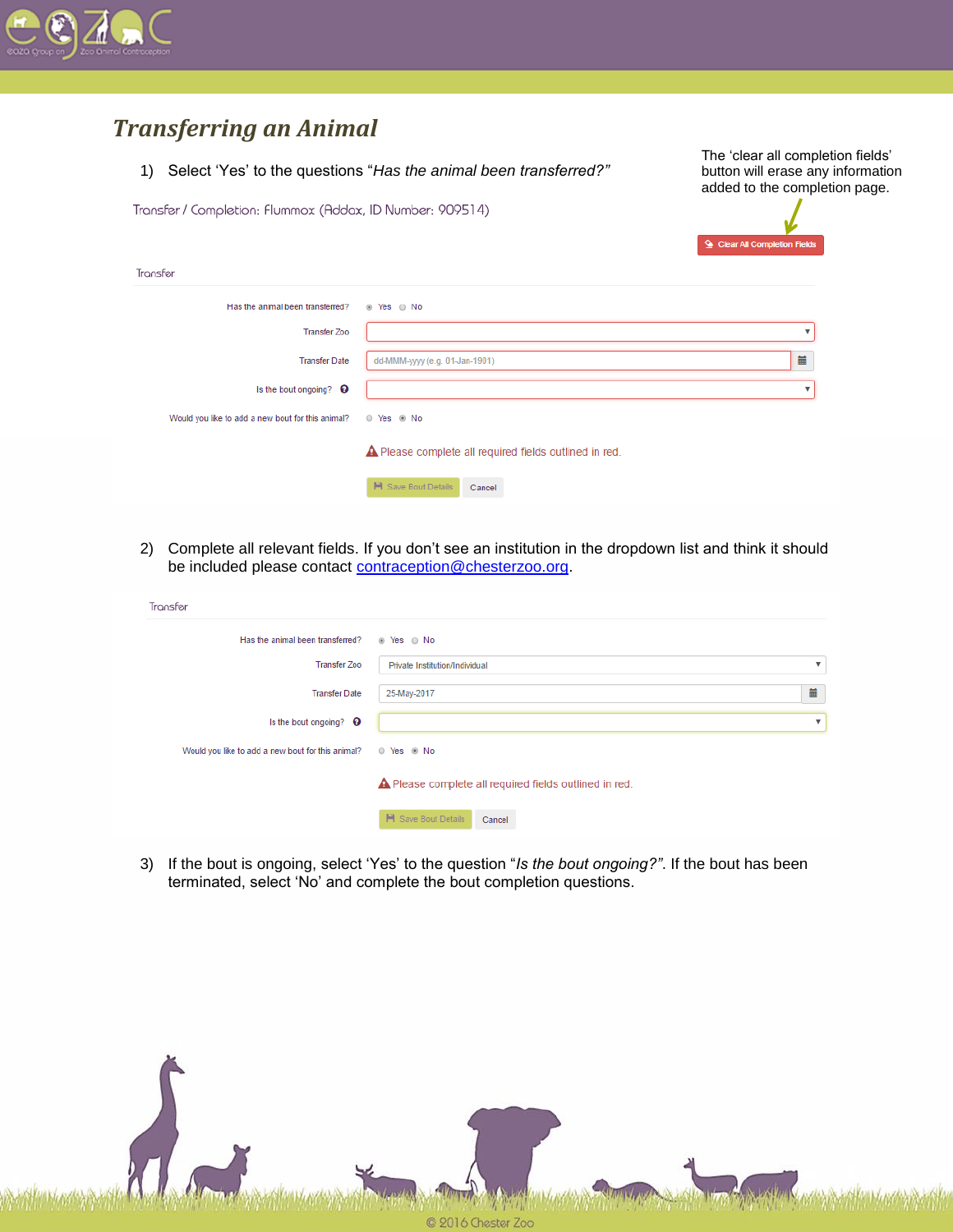

### *Transferring an Animal*

1) Select 'Yes' to the questions "*Has the animal been transferred?"*

The 'clear all completion fields' button will erase any information added to the completion page.

Transfer / Completion: Flummox (Addax, ID Number: 909514)



| Transfer                                          |                                                        |   |
|---------------------------------------------------|--------------------------------------------------------|---|
| Has the animal been transferred?                  | ⊛ Yes ⊙ No                                             |   |
| <b>Transfer Zoo</b>                               |                                                        | v |
| <b>Transfer Date</b>                              | dd-MMM-yyyy (e.g. 01-Jan-1901)                         | 藟 |
| Is the bout ongoing? <sup>O</sup>                 |                                                        |   |
| Would you like to add a new bout for this animal? | © Yes ⊛ No                                             |   |
|                                                   | ▲ Please complete all required fields outlined in red. |   |
|                                                   | <b>H</b> Save Bout Details<br>Cancel                   |   |

2) Complete all relevant fields. If you don't see an institution in the dropdown list and think it should be included please contact [contraception@chesterzoo.org.](mailto:contraception@chesterzoo.org)

| Transfer                                          |                                                        |                           |
|---------------------------------------------------|--------------------------------------------------------|---------------------------|
| Has the animal been transferred?                  | ⊛ Yes ⊙ No                                             |                           |
| <b>Transfer Zoo</b>                               | Private Institution/Individual                         | $\boldsymbol{\mathrm{v}}$ |
| <b>Transfer Date</b>                              | 25-May-2017                                            | 量                         |
| Is the bout ongoing? $\bullet$                    |                                                        | $\boldsymbol{\mathrm{v}}$ |
| Would you like to add a new bout for this animal? | © Yes ⊛ No                                             |                           |
|                                                   | ▲ Please complete all required fields outlined in red. |                           |
|                                                   | <b>H</b> Save Bout Details<br>Cancel                   |                           |

3) If the bout is ongoing, select 'Yes' to the question "*Is the bout ongoing?"*. If the bout has been terminated, select 'No' and complete the bout completion questions.